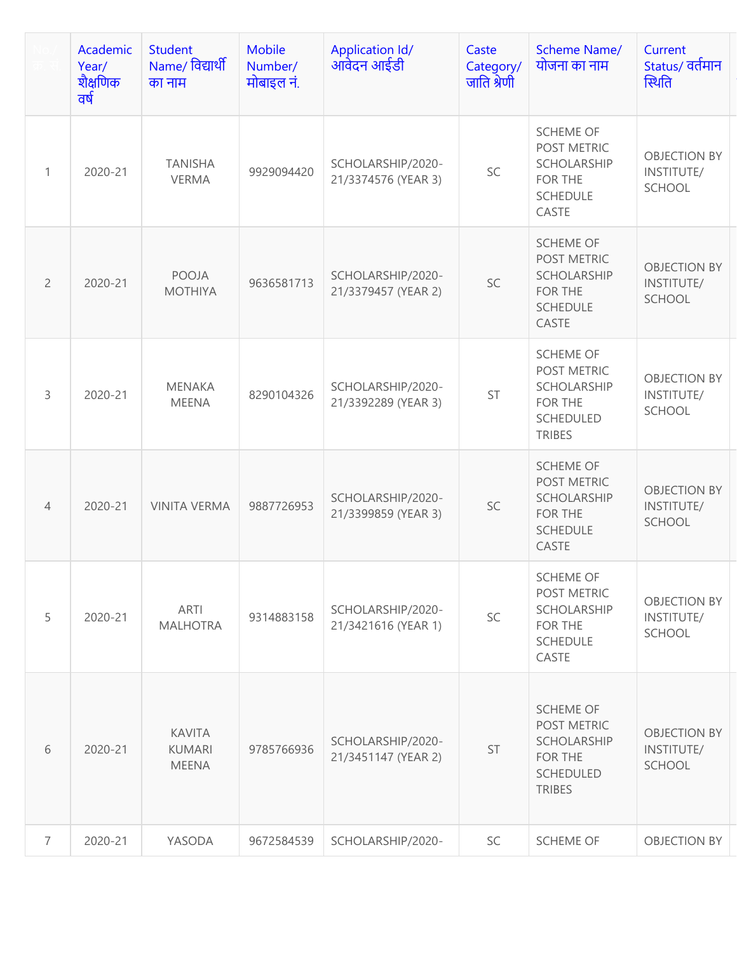|                | Academic<br>Year/<br>शैक्षणिक<br>वर्ष | <b>Student</b><br>Name/ विद्यार्थी<br>का नाम   | <b>Mobile</b><br>Number/<br>मोबाइल नं. | <b>Application Id/</b><br>आवेदन आईडी     | Caste<br>Category/<br>जाति श्रेणी | <b>Scheme Name/</b><br>योजना का नाम                                                                   | Current<br>Status/ वर्तमान<br>स्थिति               |
|----------------|---------------------------------------|------------------------------------------------|----------------------------------------|------------------------------------------|-----------------------------------|-------------------------------------------------------------------------------------------------------|----------------------------------------------------|
| $\mathbf{1}$   | 2020-21                               | <b>TANISHA</b><br><b>VERMA</b>                 | 9929094420                             | SCHOLARSHIP/2020-<br>21/3374576 (YEAR 3) | SC                                | <b>SCHEME OF</b><br>POST METRIC<br><b>SCHOLARSHIP</b><br>FOR THE<br><b>SCHEDULE</b><br>CASTE          | <b>OBJECTION BY</b><br>INSTITUTE/<br><b>SCHOOL</b> |
| $\overline{2}$ | 2020-21                               | POOJA<br><b>MOTHIYA</b>                        | 9636581713                             | SCHOLARSHIP/2020-<br>21/3379457 (YEAR 2) | SC                                | <b>SCHEME OF</b><br>POST METRIC<br>SCHOLARSHIP<br>FOR THE<br><b>SCHEDULE</b><br>CASTE                 | <b>OBJECTION BY</b><br>INSTITUTE/<br>SCHOOL        |
| 3              | 2020-21                               | <b>MENAKA</b><br><b>MEENA</b>                  | 8290104326                             | SCHOLARSHIP/2020-<br>21/3392289 (YEAR 3) | <b>ST</b>                         | <b>SCHEME OF</b><br>POST METRIC<br><b>SCHOLARSHIP</b><br>FOR THE<br><b>SCHEDULED</b><br><b>TRIBES</b> | <b>OBJECTION BY</b><br>INSTITUTE/<br>SCHOOL        |
| $\overline{4}$ | 2020-21                               | <b>VINITA VERMA</b>                            | 9887726953                             | SCHOLARSHIP/2020-<br>21/3399859 (YEAR 3) | SC                                | <b>SCHEME OF</b><br>POST METRIC<br><b>SCHOLARSHIP</b><br>FOR THE<br><b>SCHEDULE</b><br>CASTE          | <b>OBJECTION BY</b><br>INSTITUTE/<br>SCHOOL        |
| 5              | 2020-21                               | ARTI<br><b>MALHOTRA</b>                        | 9314883158                             | SCHOLARSHIP/2020-<br>21/3421616 (YEAR 1) | SC                                | <b>SCHEME OF</b><br>POST METRIC<br>SCHOLARSHIP<br>FOR THE<br><b>SCHEDULE</b><br>CASTE                 | <b>OBJECTION BY</b><br>INSTITUTE/<br>SCHOOL        |
| 6              | 2020-21                               | <b>KAVITA</b><br><b>KUMARI</b><br><b>MEENA</b> | 9785766936                             | SCHOLARSHIP/2020-<br>21/3451147 (YEAR 2) | <b>ST</b>                         | <b>SCHEME OF</b><br>POST METRIC<br><b>SCHOLARSHIP</b><br>FOR THE<br>SCHEDULED<br><b>TRIBES</b>        | <b>OBJECTION BY</b><br>INSTITUTE/<br>SCHOOL        |
| $\overline{7}$ | 2020-21                               | YASODA                                         | 9672584539                             | SCHOLARSHIP/2020-                        | SC                                | SCHEME OF                                                                                             | <b>OBJECTION BY</b>                                |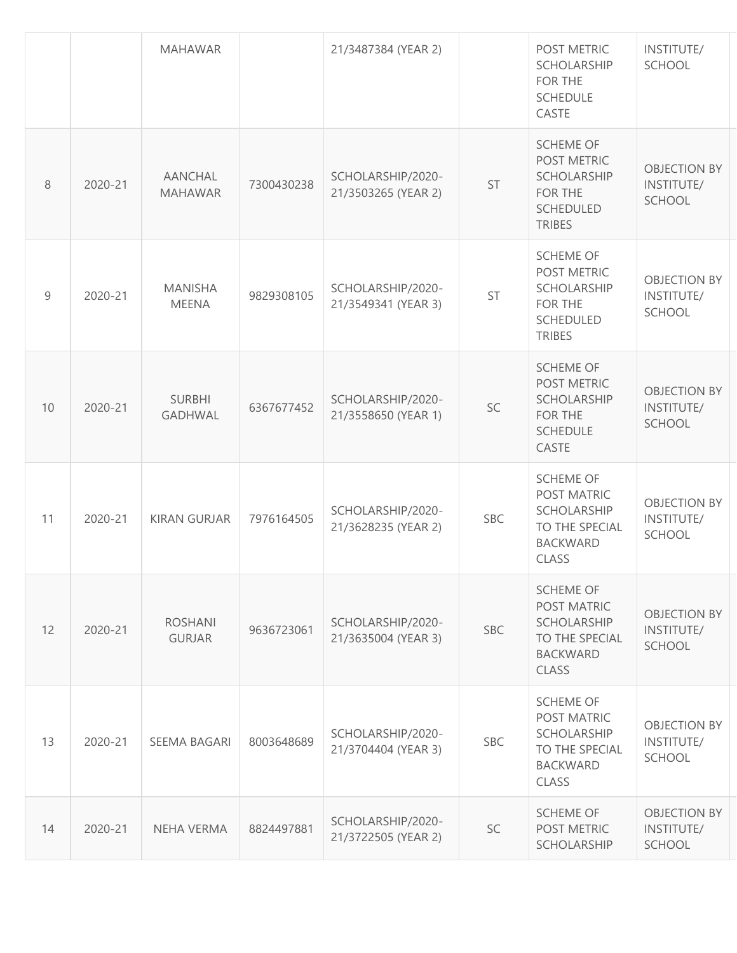|    |         | <b>MAHAWAR</b>                  |            | 21/3487384 (YEAR 2)                      |            | POST METRIC<br><b>SCHOLARSHIP</b><br>FOR THE<br><b>SCHEDULE</b><br>CASTE                                   | INSTITUTE/<br>SCHOOL                               |
|----|---------|---------------------------------|------------|------------------------------------------|------------|------------------------------------------------------------------------------------------------------------|----------------------------------------------------|
| 8  | 2020-21 | AANCHAL<br><b>MAHAWAR</b>       | 7300430238 | SCHOLARSHIP/2020-<br>21/3503265 (YEAR 2) | ST         | <b>SCHEME OF</b><br>POST METRIC<br>SCHOLARSHIP<br><b>FOR THE</b><br><b>SCHEDULED</b><br><b>TRIBES</b>      | <b>OBJECTION BY</b><br>INSTITUTE/<br><b>SCHOOL</b> |
| 9  | 2020-21 | <b>MANISHA</b><br><b>MEENA</b>  | 9829308105 | SCHOLARSHIP/2020-<br>21/3549341 (YEAR 3) | ST         | <b>SCHEME OF</b><br>POST METRIC<br>SCHOLARSHIP<br>FOR THE<br><b>SCHEDULED</b><br><b>TRIBES</b>             | <b>OBJECTION BY</b><br>INSTITUTE/<br>SCHOOL        |
| 10 | 2020-21 | <b>SURBHI</b><br><b>GADHWAL</b> | 6367677452 | SCHOLARSHIP/2020-<br>21/3558650 (YEAR 1) | SC         | <b>SCHEME OF</b><br>POST METRIC<br>SCHOLARSHIP<br>FOR THE<br><b>SCHEDULE</b><br>CASTE                      | <b>OBJECTION BY</b><br>INSTITUTE/<br><b>SCHOOL</b> |
| 11 | 2020-21 | <b>KIRAN GURJAR</b>             | 7976164505 | SCHOLARSHIP/2020-<br>21/3628235 (YEAR 2) | <b>SBC</b> | <b>SCHEME OF</b><br>POST MATRIC<br><b>SCHOLARSHIP</b><br>TO THE SPECIAL<br><b>BACKWARD</b><br>CLASS        | <b>OBJECTION BY</b><br>INSTITUTE/<br><b>SCHOOL</b> |
| 12 | 2020-21 | <b>ROSHANI</b><br><b>GURJAR</b> | 9636723061 | SCHOLARSHIP/2020-<br>21/3635004 (YEAR 3) | <b>SBC</b> | <b>SCHEME OF</b><br>POST MATRIC<br>SCHOLARSHIP<br>TO THE SPECIAL<br><b>BACKWARD</b><br>CLASS               | <b>OBJECTION BY</b><br>INSTITUTE/<br><b>SCHOOL</b> |
| 13 | 2020-21 | SEEMA BAGARI                    | 8003648689 | SCHOLARSHIP/2020-<br>21/3704404 (YEAR 3) | <b>SBC</b> | <b>SCHEME OF</b><br>POST MATRIC<br><b>SCHOLARSHIP</b><br>TO THE SPECIAL<br><b>BACKWARD</b><br><b>CLASS</b> | <b>OBJECTION BY</b><br>INSTITUTE/<br><b>SCHOOL</b> |
| 14 | 2020-21 | NEHA VERMA                      | 8824497881 | SCHOLARSHIP/2020-<br>21/3722505 (YEAR 2) | SC         | <b>SCHEME OF</b><br>POST METRIC<br>SCHOLARSHIP                                                             | <b>OBJECTION BY</b><br>INSTITUTE/<br>SCHOOL        |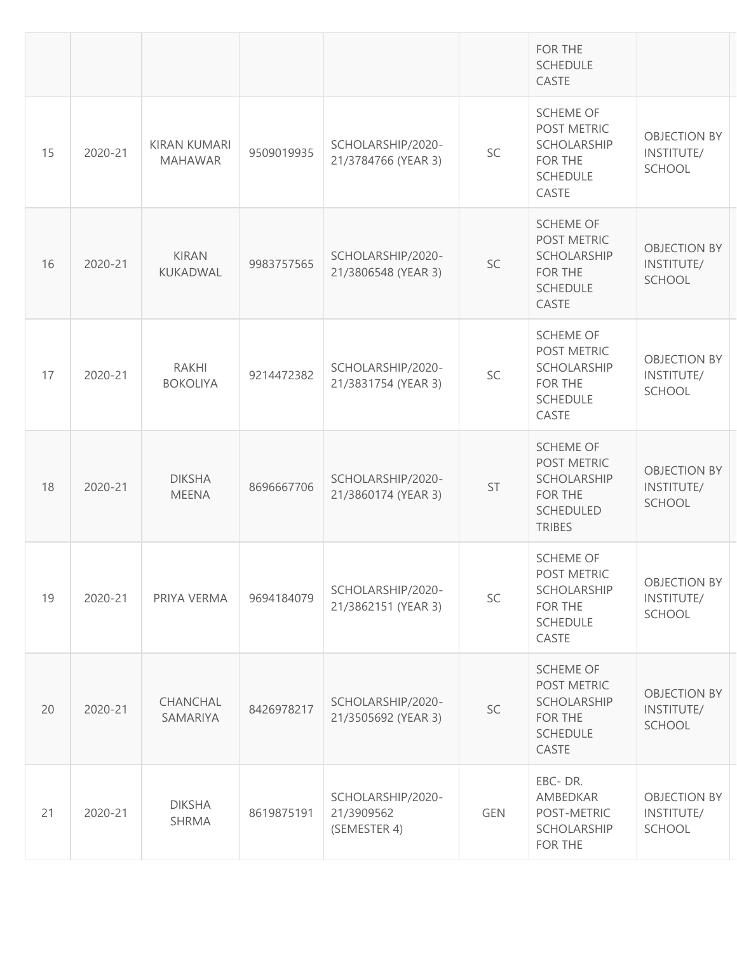|    |         |                                       |            |                                                 |            | FOR THE<br><b>SCHEDULE</b><br>CASTE                                                            |                                                    |
|----|---------|---------------------------------------|------------|-------------------------------------------------|------------|------------------------------------------------------------------------------------------------|----------------------------------------------------|
| 15 | 2020-21 | <b>KIRAN KUMARI</b><br><b>MAHAWAR</b> | 9509019935 | SCHOLARSHIP/2020-<br>21/3784766 (YEAR 3)        | SC         | <b>SCHEME OF</b><br>POST METRIC<br>SCHOLARSHIP<br>FOR THE<br><b>SCHEDULE</b><br>CASTE          | <b>OBJECTION BY</b><br>INSTITUTE/<br>SCHOOL        |
| 16 | 2020-21 | <b>KIRAN</b><br>KUKADWAL              | 9983757565 | SCHOLARSHIP/2020-<br>21/3806548 (YEAR 3)        | SC         | <b>SCHEME OF</b><br>POST METRIC<br>SCHOLARSHIP<br><b>FOR THE</b><br><b>SCHEDULE</b><br>CASTE   | <b>OBJECTION BY</b><br>INSTITUTE/<br><b>SCHOOL</b> |
| 17 | 2020-21 | <b>RAKHI</b><br><b>BOKOLIYA</b>       | 9214472382 | SCHOLARSHIP/2020-<br>21/3831754 (YEAR 3)        | SC         | <b>SCHEME OF</b><br>POST METRIC<br>SCHOLARSHIP<br>FOR THE<br><b>SCHEDULE</b><br>CASTE          | <b>OBJECTION BY</b><br>INSTITUTE/<br>SCHOOL        |
| 18 | 2020-21 | <b>DIKSHA</b><br><b>MEENA</b>         | 8696667706 | SCHOLARSHIP/2020-<br>21/3860174 (YEAR 3)        | ST         | <b>SCHEME OF</b><br>POST METRIC<br>SCHOLARSHIP<br>FOR THE<br><b>SCHEDULED</b><br><b>TRIBES</b> | <b>OBJECTION BY</b><br>INSTITUTE/<br>SCHOOL        |
| 19 | 2020-21 | PRIYA VERMA                           | 9694184079 | SCHOLARSHIP/2020-<br>21/3862151 (YEAR 3)        | SC         | <b>SCHEME OF</b><br>POST METRIC<br>SCHOLARSHIP<br>FOR THE<br><b>SCHEDULE</b><br>CASTE          | <b>OBJECTION BY</b><br>INSTITUTE/<br><b>SCHOOL</b> |
| 20 | 2020-21 | CHANCHAL<br>SAMARIYA                  | 8426978217 | SCHOLARSHIP/2020-<br>21/3505692 (YEAR 3)        | SC         | <b>SCHEME OF</b><br>POST METRIC<br>SCHOLARSHIP<br>FOR THE<br><b>SCHEDULE</b><br>CASTE          | <b>OBJECTION BY</b><br>INSTITUTE/<br><b>SCHOOL</b> |
| 21 | 2020-21 | <b>DIKSHA</b><br><b>SHRMA</b>         | 8619875191 | SCHOLARSHIP/2020-<br>21/3909562<br>(SEMESTER 4) | <b>GEN</b> | EBC-DR.<br>AMBEDKAR<br>POST-METRIC<br>SCHOLARSHIP<br>FOR THE                                   | <b>OBJECTION BY</b><br>INSTITUTE/<br>SCHOOL        |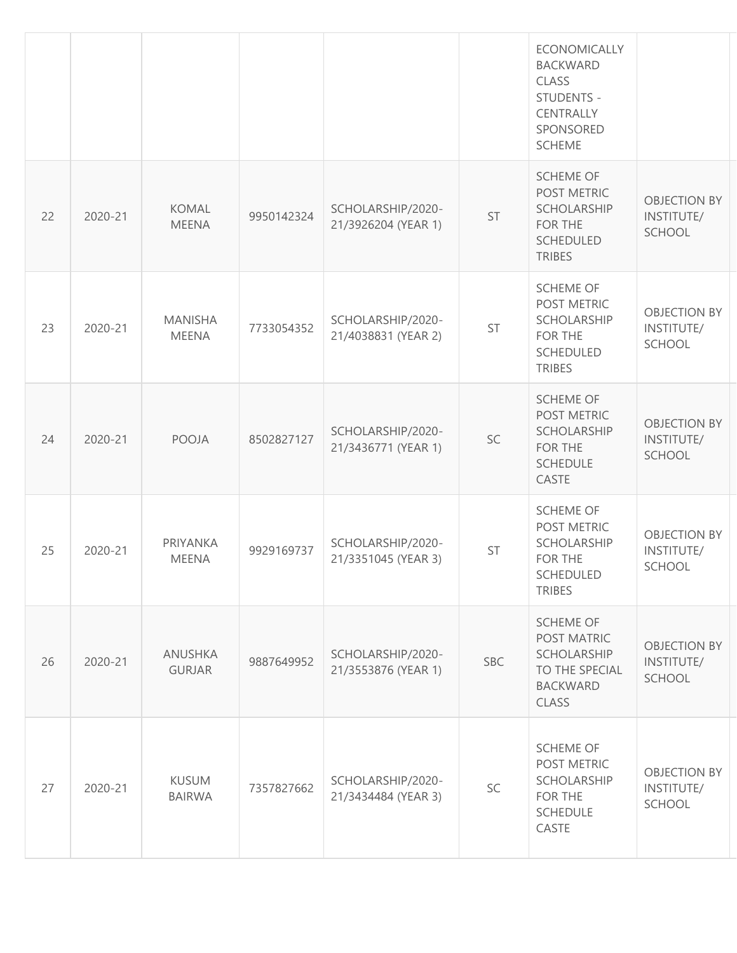|    |         |                                 |            |                                          |            | <b>ECONOMICALLY</b><br><b>BACKWARD</b><br><b>CLASS</b><br>STUDENTS -<br>CENTRALLY<br>SPONSORED<br><b>SCHEME</b> |                                             |
|----|---------|---------------------------------|------------|------------------------------------------|------------|-----------------------------------------------------------------------------------------------------------------|---------------------------------------------|
| 22 | 2020-21 | <b>KOMAL</b><br><b>MEENA</b>    | 9950142324 | SCHOLARSHIP/2020-<br>21/3926204 (YEAR 1) | ST         | <b>SCHEME OF</b><br>POST METRIC<br><b>SCHOLARSHIP</b><br>FOR THE<br><b>SCHEDULED</b><br><b>TRIBES</b>           | <b>OBJECTION BY</b><br>INSTITUTE/<br>SCHOOL |
| 23 | 2020-21 | <b>MANISHA</b><br><b>MEENA</b>  | 7733054352 | SCHOLARSHIP/2020-<br>21/4038831 (YEAR 2) | ST         | <b>SCHEME OF</b><br>POST METRIC<br>SCHOLARSHIP<br>FOR THE<br><b>SCHEDULED</b><br><b>TRIBES</b>                  | <b>OBJECTION BY</b><br>INSTITUTE/<br>SCHOOL |
| 24 | 2020-21 | <b>POOJA</b>                    | 8502827127 | SCHOLARSHIP/2020-<br>21/3436771 (YEAR 1) | SC         | <b>SCHEME OF</b><br>POST METRIC<br><b>SCHOLARSHIP</b><br>FOR THE<br><b>SCHEDULE</b><br>CASTE                    | <b>OBJECTION BY</b><br>INSTITUTE/<br>SCHOOL |
| 25 | 2020-21 | <b>PRIYANKA</b><br><b>MEENA</b> | 9929169737 | SCHOLARSHIP/2020-<br>21/3351045 (YEAR 3) | <b>ST</b>  | <b>SCHEME OF</b><br>POST METRIC<br><b>SCHOLARSHIP</b><br>FOR THE<br>SCHEDULED<br><b>TRIBES</b>                  | <b>OBJECTION BY</b><br>INSTITUTE/<br>SCHOOL |
| 26 | 2020-21 | ANUSHKA<br><b>GURJAR</b>        | 9887649952 | SCHOLARSHIP/2020-<br>21/3553876 (YEAR 1) | <b>SBC</b> | <b>SCHEME OF</b><br>POST MATRIC<br><b>SCHOLARSHIP</b><br>TO THE SPECIAL<br><b>BACKWARD</b><br>CLASS             | <b>OBJECTION BY</b><br>INSTITUTE/<br>SCHOOL |
| 27 | 2020-21 | <b>KUSUM</b><br><b>BAIRWA</b>   | 7357827662 | SCHOLARSHIP/2020-<br>21/3434484 (YEAR 3) | SC         | <b>SCHEME OF</b><br>POST METRIC<br><b>SCHOLARSHIP</b><br>FOR THE<br><b>SCHEDULE</b><br>CASTE                    | <b>OBJECTION BY</b><br>INSTITUTE/<br>SCHOOL |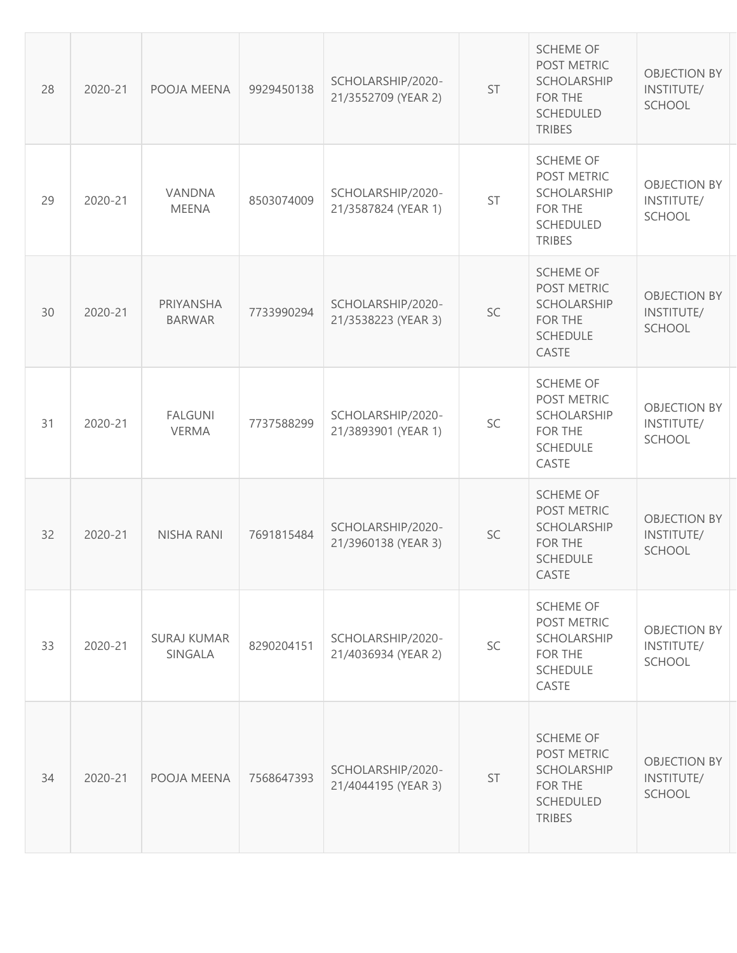| 28 | 2020-21 | POOJA MEENA                    | 9929450138 | SCHOLARSHIP/2020-<br>21/3552709 (YEAR 2) | ST        | <b>SCHEME OF</b><br>POST METRIC<br><b>SCHOLARSHIP</b><br>FOR THE<br><b>SCHEDULED</b><br><b>TRIBES</b> | <b>OBJECTION BY</b><br>INSTITUTE/<br><b>SCHOOL</b> |
|----|---------|--------------------------------|------------|------------------------------------------|-----------|-------------------------------------------------------------------------------------------------------|----------------------------------------------------|
| 29 | 2020-21 | VANDNA<br><b>MEENA</b>         | 8503074009 | SCHOLARSHIP/2020-<br>21/3587824 (YEAR 1) | <b>ST</b> | <b>SCHEME OF</b><br>POST METRIC<br><b>SCHOLARSHIP</b><br>FOR THE<br><b>SCHEDULED</b><br><b>TRIBES</b> | <b>OBJECTION BY</b><br>INSTITUTE/<br><b>SCHOOL</b> |
| 30 | 2020-21 | PRIYANSHA<br><b>BARWAR</b>     | 7733990294 | SCHOLARSHIP/2020-<br>21/3538223 (YEAR 3) | SC        | <b>SCHEME OF</b><br>POST METRIC<br><b>SCHOLARSHIP</b><br>FOR THE<br><b>SCHEDULE</b><br>CASTE          | <b>OBJECTION BY</b><br>INSTITUTE/<br>SCHOOL        |
| 31 | 2020-21 | <b>FALGUNI</b><br><b>VERMA</b> | 7737588299 | SCHOLARSHIP/2020-<br>21/3893901 (YEAR 1) | SC        | <b>SCHEME OF</b><br>POST METRIC<br><b>SCHOLARSHIP</b><br>FOR THE<br><b>SCHEDULE</b><br>CASTE          | <b>OBJECTION BY</b><br>INSTITUTE/<br><b>SCHOOL</b> |
| 32 | 2020-21 | NISHA RANI                     | 7691815484 | SCHOLARSHIP/2020-<br>21/3960138 (YEAR 3) | SC        | <b>SCHEME OF</b><br>POST METRIC<br><b>SCHOLARSHIP</b><br>FOR THE<br><b>SCHEDULE</b><br>CASTE          | <b>OBJECTION BY</b><br>INSTITUTE/<br><b>SCHOOL</b> |
| 33 | 2020-21 | <b>SURAJ KUMAR</b><br>SINGALA  | 8290204151 | SCHOLARSHIP/2020-<br>21/4036934 (YEAR 2) | SC        | <b>SCHEME OF</b><br>POST METRIC<br><b>SCHOLARSHIP</b><br>FOR THE<br><b>SCHEDULE</b><br>CASTE          | <b>OBJECTION BY</b><br>INSTITUTE/<br><b>SCHOOL</b> |
| 34 | 2020-21 | POOJA MEENA                    | 7568647393 | SCHOLARSHIP/2020-<br>21/4044195 (YEAR 3) | <b>ST</b> | <b>SCHEME OF</b><br>POST METRIC<br><b>SCHOLARSHIP</b><br>FOR THE<br><b>SCHEDULED</b><br><b>TRIBES</b> | <b>OBJECTION BY</b><br>INSTITUTE/<br>SCHOOL        |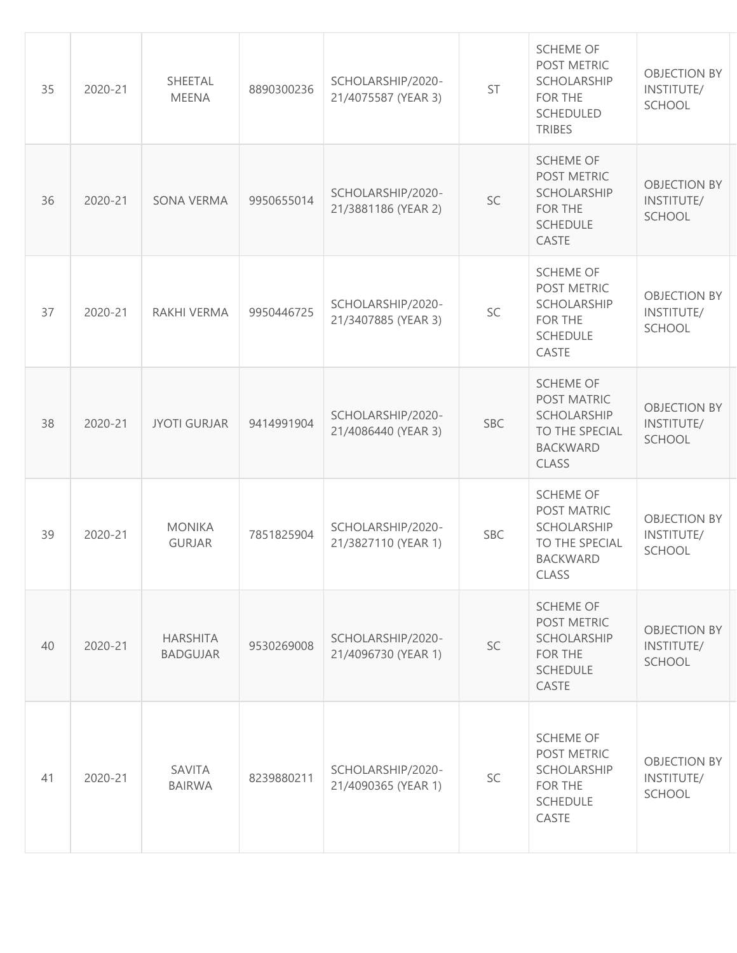| 35 | 2020-21 | SHEETAL<br><b>MEENA</b>            | 8890300236 | SCHOLARSHIP/2020-<br>21/4075587 (YEAR 3) | ST         | <b>SCHEME OF</b><br>POST METRIC<br>SCHOLARSHIP<br>FOR THE<br><b>SCHEDULED</b><br><b>TRIBES</b>      | <b>OBJECTION BY</b><br>INSTITUTE/<br><b>SCHOOL</b> |
|----|---------|------------------------------------|------------|------------------------------------------|------------|-----------------------------------------------------------------------------------------------------|----------------------------------------------------|
| 36 | 2020-21 | SONA VERMA                         | 9950655014 | SCHOLARSHIP/2020-<br>21/3881186 (YEAR 2) | SC         | <b>SCHEME OF</b><br>POST METRIC<br><b>SCHOLARSHIP</b><br>FOR THE<br><b>SCHEDULE</b><br>CASTE        | <b>OBJECTION BY</b><br>INSTITUTE/<br><b>SCHOOL</b> |
| 37 | 2020-21 | RAKHI VERMA                        | 9950446725 | SCHOLARSHIP/2020-<br>21/3407885 (YEAR 3) | SC         | <b>SCHEME OF</b><br>POST METRIC<br>SCHOLARSHIP<br>FOR THE<br><b>SCHEDULE</b><br>CASTE               | <b>OBJECTION BY</b><br>INSTITUTE/<br>SCHOOL        |
| 38 | 2020-21 | <b>JYOTI GURJAR</b>                | 9414991904 | SCHOLARSHIP/2020-<br>21/4086440 (YEAR 3) | SBC        | <b>SCHEME OF</b><br>POST MATRIC<br>SCHOLARSHIP<br>TO THE SPECIAL<br><b>BACKWARD</b><br><b>CLASS</b> | <b>OBJECTION BY</b><br>INSTITUTE/<br><b>SCHOOL</b> |
| 39 | 2020-21 | <b>MONIKA</b><br><b>GURJAR</b>     | 7851825904 | SCHOLARSHIP/2020-<br>21/3827110 (YEAR 1) | <b>SBC</b> | <b>SCHEME OF</b><br>POST MATRIC<br>SCHOLARSHIP<br>TO THE SPECIAL<br><b>BACKWARD</b><br>CLASS        | <b>OBJECTION BY</b><br>INSTITUTE/<br>SCHOOL        |
| 40 | 2020-21 | <b>HARSHITA</b><br><b>BADGUJAR</b> | 9530269008 | SCHOLARSHIP/2020-<br>21/4096730 (YEAR 1) | SC         | <b>SCHEME OF</b><br>POST METRIC<br><b>SCHOLARSHIP</b><br>FOR THE<br><b>SCHEDULE</b><br>CASTE        | <b>OBJECTION BY</b><br>INSTITUTE/<br><b>SCHOOL</b> |
| 41 | 2020-21 | SAVITA<br><b>BAIRWA</b>            | 8239880211 | SCHOLARSHIP/2020-<br>21/4090365 (YEAR 1) | SC         | <b>SCHEME OF</b><br>POST METRIC<br>SCHOLARSHIP<br>FOR THE<br><b>SCHEDULE</b><br>CASTE               | <b>OBJECTION BY</b><br>INSTITUTE/<br>SCHOOL        |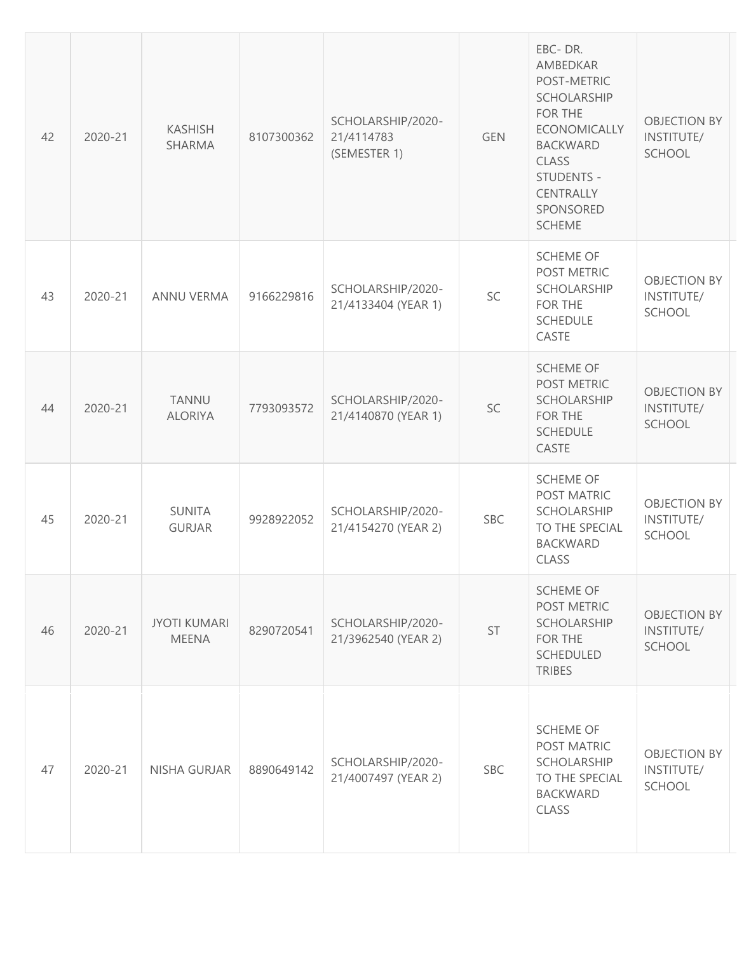| 42 | 2020-21 | <b>KASHISH</b><br><b>SHARMA</b>     | 8107300362 | SCHOLARSHIP/2020-<br>21/4114783<br>(SEMESTER 1) | <b>GEN</b> | EBC-DR.<br>AMBEDKAR<br>POST-METRIC<br><b>SCHOLARSHIP</b><br>FOR THE<br><b>ECONOMICALLY</b><br><b>BACKWARD</b><br><b>CLASS</b><br>STUDENTS -<br>CENTRALLY<br>SPONSORED<br><b>SCHEME</b> | <b>OBJECTION BY</b><br>INSTITUTE/<br>SCHOOL        |
|----|---------|-------------------------------------|------------|-------------------------------------------------|------------|----------------------------------------------------------------------------------------------------------------------------------------------------------------------------------------|----------------------------------------------------|
| 43 | 2020-21 | <b>ANNU VERMA</b>                   | 9166229816 | SCHOLARSHIP/2020-<br>21/4133404 (YEAR 1)        | SC         | <b>SCHEME OF</b><br>POST METRIC<br>SCHOLARSHIP<br><b>FOR THE</b><br><b>SCHEDULE</b><br>CASTE                                                                                           | <b>OBJECTION BY</b><br>INSTITUTE/<br><b>SCHOOL</b> |
| 44 | 2020-21 | <b>TANNU</b><br><b>ALORIYA</b>      | 7793093572 | SCHOLARSHIP/2020-<br>21/4140870 (YEAR 1)        | SC         | <b>SCHEME OF</b><br>POST METRIC<br>SCHOLARSHIP<br>FOR THE<br><b>SCHEDULE</b><br>CASTE                                                                                                  | <b>OBJECTION BY</b><br>INSTITUTE/<br>SCHOOL        |
| 45 | 2020-21 | <b>SUNITA</b><br><b>GURJAR</b>      | 9928922052 | SCHOLARSHIP/2020-<br>21/4154270 (YEAR 2)        | <b>SBC</b> | <b>SCHEME OF</b><br>POST MATRIC<br><b>SCHOLARSHIP</b><br>TO THE SPECIAL<br><b>BACKWARD</b><br>CLASS                                                                                    | <b>OBJECTION BY</b><br>INSTITUTE/<br><b>SCHOOL</b> |
| 46 | 2020-21 | <b>JYOTI KUMARI</b><br><b>MEENA</b> | 8290720541 | SCHOLARSHIP/2020-<br>21/3962540 (YEAR 2)        | ST         | <b>SCHEME OF</b><br>POST METRIC<br><b>SCHOLARSHIP</b><br>FOR THE<br><b>SCHEDULED</b><br><b>TRIBES</b>                                                                                  | <b>OBJECTION BY</b><br>INSTITUTE/<br>SCHOOL        |
| 47 | 2020-21 | NISHA GURJAR                        | 8890649142 | SCHOLARSHIP/2020-<br>21/4007497 (YEAR 2)        | <b>SBC</b> | <b>SCHEME OF</b><br>POST MATRIC<br>SCHOLARSHIP<br>TO THE SPECIAL<br><b>BACKWARD</b><br><b>CLASS</b>                                                                                    | <b>OBJECTION BY</b><br>INSTITUTE/<br><b>SCHOOL</b> |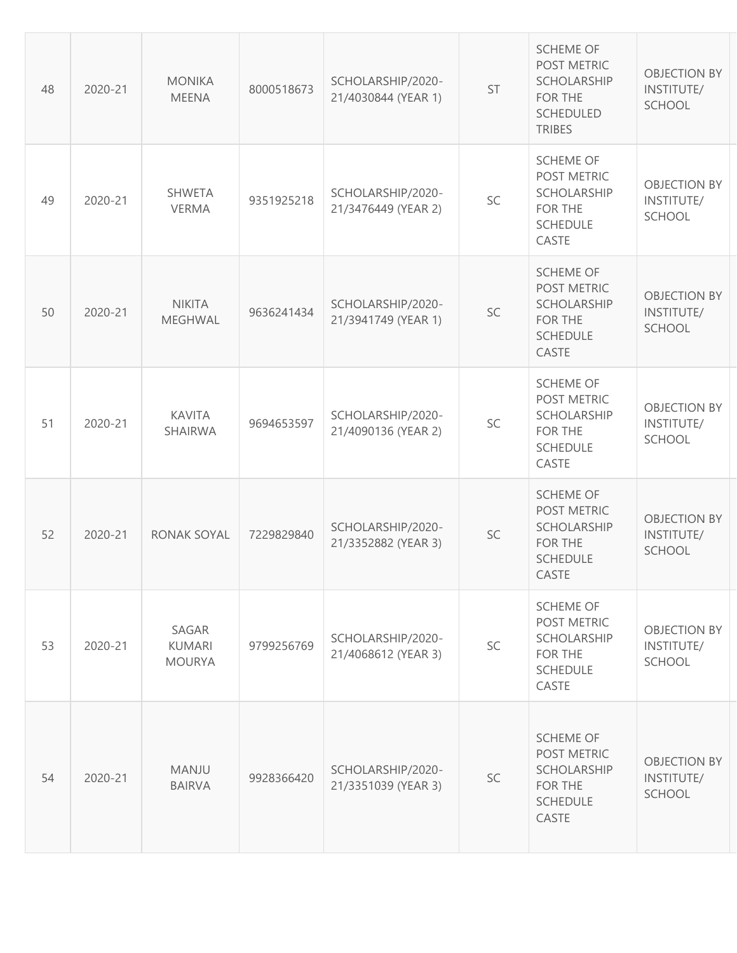| 48 | 2020-21 | <b>MONIKA</b><br><b>MEENA</b>           | 8000518673 | SCHOLARSHIP/2020-<br>21/4030844 (YEAR 1) | ST | <b>SCHEME OF</b><br>POST METRIC<br><b>SCHOLARSHIP</b><br>FOR THE<br><b>SCHEDULED</b><br><b>TRIBES</b> | <b>OBJECTION BY</b><br>INSTITUTE/<br><b>SCHOOL</b> |
|----|---------|-----------------------------------------|------------|------------------------------------------|----|-------------------------------------------------------------------------------------------------------|----------------------------------------------------|
| 49 | 2020-21 | <b>SHWETA</b><br><b>VERMA</b>           | 9351925218 | SCHOLARSHIP/2020-<br>21/3476449 (YEAR 2) | SC | <b>SCHEME OF</b><br>POST METRIC<br><b>SCHOLARSHIP</b><br>FOR THE<br><b>SCHEDULE</b><br>CASTE          | <b>OBJECTION BY</b><br>INSTITUTE/<br><b>SCHOOL</b> |
| 50 | 2020-21 | <b>NIKITA</b><br>MEGHWAL                | 9636241434 | SCHOLARSHIP/2020-<br>21/3941749 (YEAR 1) | SC | <b>SCHEME OF</b><br>POST METRIC<br><b>SCHOLARSHIP</b><br>FOR THE<br><b>SCHEDULE</b><br>CASTE          | <b>OBJECTION BY</b><br>INSTITUTE/<br>SCHOOL        |
| 51 | 2020-21 | <b>KAVITA</b><br>SHAIRWA                | 9694653597 | SCHOLARSHIP/2020-<br>21/4090136 (YEAR 2) | SC | <b>SCHEME OF</b><br>POST METRIC<br><b>SCHOLARSHIP</b><br>FOR THE<br><b>SCHEDULE</b><br>CASTE          | <b>OBJECTION BY</b><br>INSTITUTE/<br><b>SCHOOL</b> |
| 52 | 2020-21 | <b>RONAK SOYAL</b>                      | 7229829840 | SCHOLARSHIP/2020-<br>21/3352882 (YEAR 3) | SC | <b>SCHEME OF</b><br>POST METRIC<br><b>SCHOLARSHIP</b><br>FOR THE<br><b>SCHEDULE</b><br>CASTE          | <b>OBJECTION BY</b><br>INSTITUTE/<br><b>SCHOOL</b> |
| 53 | 2020-21 | SAGAR<br><b>KUMARI</b><br><b>MOURYA</b> | 9799256769 | SCHOLARSHIP/2020-<br>21/4068612 (YEAR 3) | SC | <b>SCHEME OF</b><br>POST METRIC<br><b>SCHOLARSHIP</b><br>FOR THE<br><b>SCHEDULE</b><br>CASTE          | <b>OBJECTION BY</b><br>INSTITUTE/<br><b>SCHOOL</b> |
| 54 | 2020-21 | <b>MANJU</b><br><b>BAIRVA</b>           | 9928366420 | SCHOLARSHIP/2020-<br>21/3351039 (YEAR 3) | SC | <b>SCHEME OF</b><br>POST METRIC<br><b>SCHOLARSHIP</b><br>FOR THE<br><b>SCHEDULE</b><br>CASTE          | <b>OBJECTION BY</b><br>INSTITUTE/<br>SCHOOL        |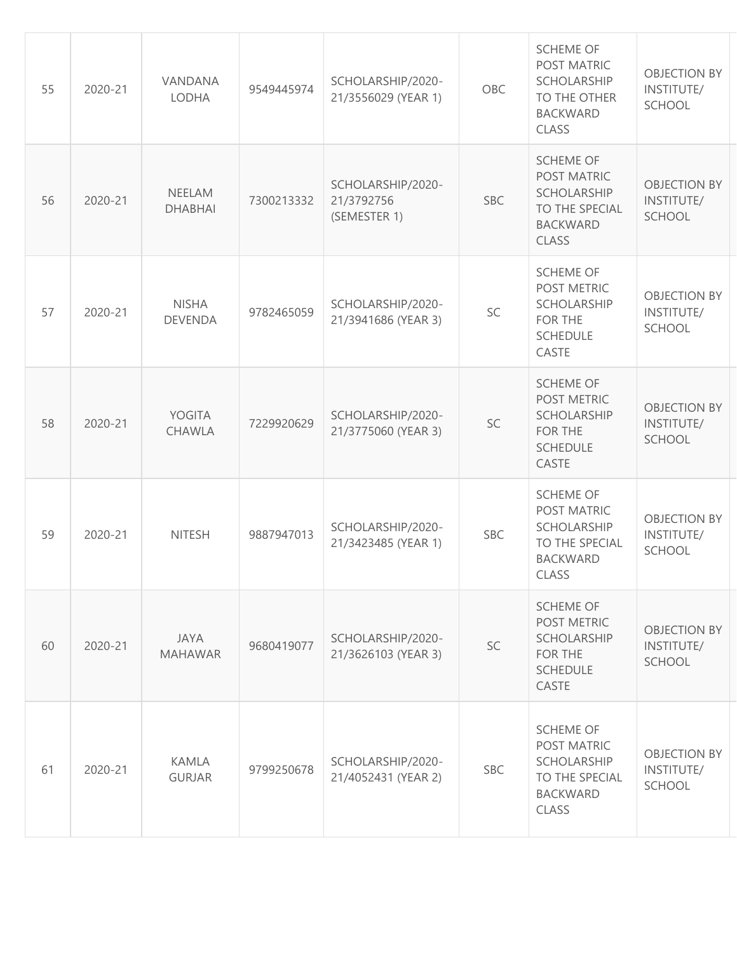| 55 | 2020-21 | VANDANA<br>LODHA               | 9549445974 | SCHOLARSHIP/2020-<br>21/3556029 (YEAR 1)        | OBC        | <b>SCHEME OF</b><br>POST MATRIC<br><b>SCHOLARSHIP</b><br>TO THE OTHER<br><b>BACKWARD</b><br><b>CLASS</b> | <b>OBJECTION BY</b><br>INSTITUTE/<br><b>SCHOOL</b> |
|----|---------|--------------------------------|------------|-------------------------------------------------|------------|----------------------------------------------------------------------------------------------------------|----------------------------------------------------|
| 56 | 2020-21 | NEELAM<br><b>DHABHAI</b>       | 7300213332 | SCHOLARSHIP/2020-<br>21/3792756<br>(SEMESTER 1) | <b>SBC</b> | <b>SCHEME OF</b><br>POST MATRIC<br><b>SCHOLARSHIP</b><br>TO THE SPECIAL<br><b>BACKWARD</b><br>CLASS      | <b>OBJECTION BY</b><br>INSTITUTE/<br><b>SCHOOL</b> |
| 57 | 2020-21 | <b>NISHA</b><br><b>DEVENDA</b> | 9782465059 | SCHOLARSHIP/2020-<br>21/3941686 (YEAR 3)        | SC         | <b>SCHEME OF</b><br>POST METRIC<br><b>SCHOLARSHIP</b><br>FOR THE<br><b>SCHEDULE</b><br>CASTE             | <b>OBJECTION BY</b><br>INSTITUTE/<br><b>SCHOOL</b> |
| 58 | 2020-21 | YOGITA<br>CHAWLA               | 7229920629 | SCHOLARSHIP/2020-<br>21/3775060 (YEAR 3)        | SC         | <b>SCHEME OF</b><br>POST METRIC<br>SCHOLARSHIP<br>FOR THE<br><b>SCHEDULE</b><br>CASTE                    | <b>OBJECTION BY</b><br>INSTITUTE/<br><b>SCHOOL</b> |
| 59 | 2020-21 | <b>NITESH</b>                  | 9887947013 | SCHOLARSHIP/2020-<br>21/3423485 (YEAR 1)        | <b>SBC</b> | <b>SCHEME OF</b><br>POST MATRIC<br><b>SCHOLARSHIP</b><br>TO THE SPECIAL<br><b>BACKWARD</b><br>CLASS      | <b>OBJECTION BY</b><br>INSTITUTE/<br>SCHOOL        |
| 60 | 2020-21 | <b>JAYA</b><br><b>MAHAWAR</b>  | 9680419077 | SCHOLARSHIP/2020-<br>21/3626103 (YEAR 3)        | SC         | <b>SCHEME OF</b><br>POST METRIC<br><b>SCHOLARSHIP</b><br><b>FOR THE</b><br><b>SCHEDULE</b><br>CASTE      | <b>OBJECTION BY</b><br>INSTITUTE/<br><b>SCHOOL</b> |
| 61 | 2020-21 | <b>KAMLA</b><br><b>GURJAR</b>  | 9799250678 | SCHOLARSHIP/2020-<br>21/4052431 (YEAR 2)        | <b>SBC</b> | <b>SCHEME OF</b><br>POST MATRIC<br><b>SCHOLARSHIP</b><br>TO THE SPECIAL<br><b>BACKWARD</b><br>CLASS      | <b>OBJECTION BY</b><br>INSTITUTE/<br><b>SCHOOL</b> |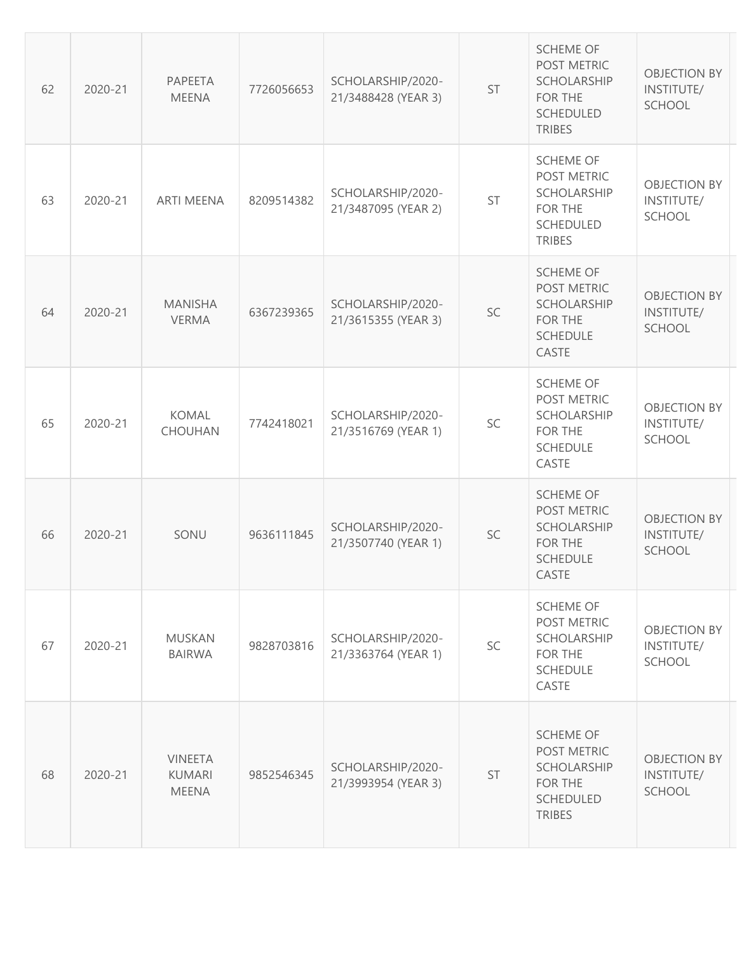| 62 | 2020-21 | PAPEETA<br><b>MEENA</b>                         | 7726056653 | SCHOLARSHIP/2020-<br>21/3488428 (YEAR 3) | ST | <b>SCHEME OF</b><br>POST METRIC<br>SCHOLARSHIP<br>FOR THE<br><b>SCHEDULED</b><br><b>TRIBES</b>      | <b>OBJECTION BY</b><br>INSTITUTE/<br><b>SCHOOL</b> |
|----|---------|-------------------------------------------------|------------|------------------------------------------|----|-----------------------------------------------------------------------------------------------------|----------------------------------------------------|
| 63 | 2020-21 | <b>ARTI MEENA</b>                               | 8209514382 | SCHOLARSHIP/2020-<br>21/3487095 (YEAR 2) | ST | <b>SCHEME OF</b><br>POST METRIC<br>SCHOLARSHIP<br>FOR THE<br><b>SCHEDULED</b><br><b>TRIBES</b>      | <b>OBJECTION BY</b><br>INSTITUTE/<br><b>SCHOOL</b> |
| 64 | 2020-21 | <b>MANISHA</b><br><b>VERMA</b>                  | 6367239365 | SCHOLARSHIP/2020-<br>21/3615355 (YEAR 3) | SC | <b>SCHEME OF</b><br>POST METRIC<br><b>SCHOLARSHIP</b><br><b>FOR THE</b><br><b>SCHEDULE</b><br>CASTE | <b>OBJECTION BY</b><br>INSTITUTE/<br><b>SCHOOL</b> |
| 65 | 2020-21 | KOMAL<br><b>CHOUHAN</b>                         | 7742418021 | SCHOLARSHIP/2020-<br>21/3516769 (YEAR 1) | SC | <b>SCHEME OF</b><br>POST METRIC<br>SCHOLARSHIP<br>FOR THE<br><b>SCHEDULE</b><br>CASTE               | <b>OBJECTION BY</b><br>INSTITUTE/<br><b>SCHOOL</b> |
| 66 | 2020-21 | SONU                                            | 9636111845 | SCHOLARSHIP/2020-<br>21/3507740 (YEAR 1) | SC | <b>SCHEME OF</b><br>POST METRIC<br>SCHOLARSHIP<br>FOR THE<br><b>SCHEDULE</b><br>CASTE               | <b>OBJECTION BY</b><br>INSTITUTE/<br><b>SCHOOL</b> |
| 67 | 2020-21 | <b>MUSKAN</b><br><b>BAIRWA</b>                  | 9828703816 | SCHOLARSHIP/2020-<br>21/3363764 (YEAR 1) | SC | <b>SCHEME OF</b><br>POST METRIC<br>SCHOLARSHIP<br>FOR THE<br><b>SCHEDULE</b><br>CASTE               | <b>OBJECTION BY</b><br>INSTITUTE/<br><b>SCHOOL</b> |
| 68 | 2020-21 | <b>VINEETA</b><br><b>KUMARI</b><br><b>MEENA</b> | 9852546345 | SCHOLARSHIP/2020-<br>21/3993954 (YEAR 3) | ST | <b>SCHEME OF</b><br>POST METRIC<br>SCHOLARSHIP<br>FOR THE<br><b>SCHEDULED</b><br><b>TRIBES</b>      | <b>OBJECTION BY</b><br>INSTITUTE/<br><b>SCHOOL</b> |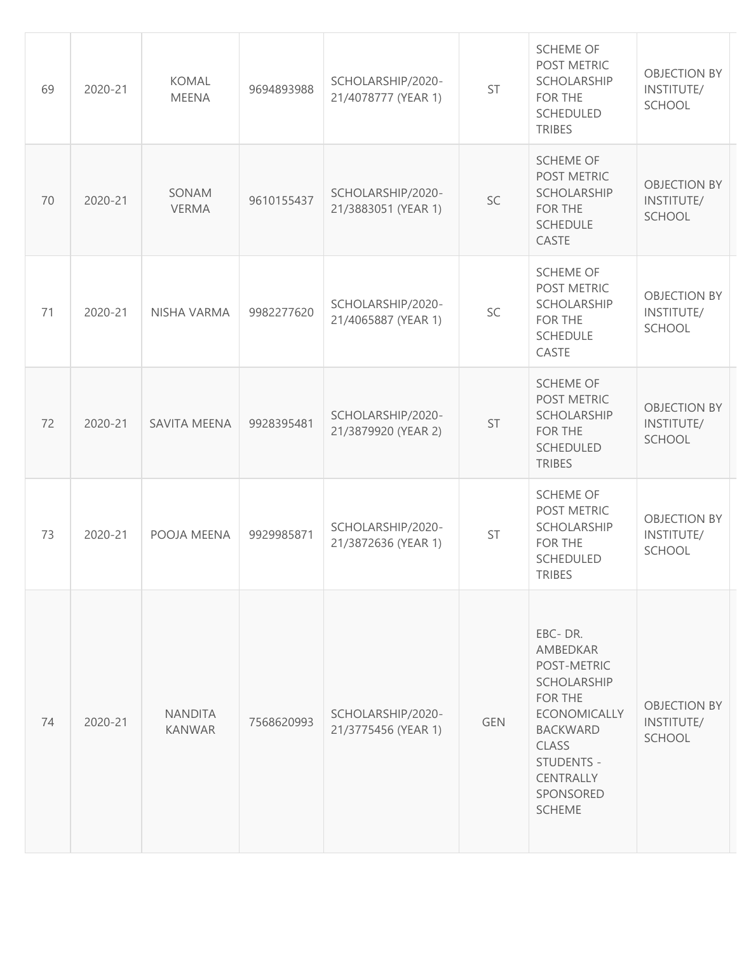| 69 | 2020-21 | <b>KOMAL</b><br><b>MEENA</b>    | 9694893988 | SCHOLARSHIP/2020-<br>21/4078777 (YEAR 1) | ST         | <b>SCHEME OF</b><br>POST METRIC<br>SCHOLARSHIP<br>FOR THE<br>SCHEDULED<br><b>TRIBES</b>                                                                                                | <b>OBJECTION BY</b><br>INSTITUTE/<br><b>SCHOOL</b> |
|----|---------|---------------------------------|------------|------------------------------------------|------------|----------------------------------------------------------------------------------------------------------------------------------------------------------------------------------------|----------------------------------------------------|
| 70 | 2020-21 | SONAM<br><b>VERMA</b>           | 9610155437 | SCHOLARSHIP/2020-<br>21/3883051 (YEAR 1) | SC         | <b>SCHEME OF</b><br>POST METRIC<br>SCHOLARSHIP<br>FOR THE<br><b>SCHEDULE</b><br>CASTE                                                                                                  | <b>OBJECTION BY</b><br>INSTITUTE/<br><b>SCHOOL</b> |
| 71 | 2020-21 | NISHA VARMA                     | 9982277620 | SCHOLARSHIP/2020-<br>21/4065887 (YEAR 1) | SC         | <b>SCHEME OF</b><br>POST METRIC<br>SCHOLARSHIP<br>FOR THE<br><b>SCHEDULE</b><br>CASTE                                                                                                  | <b>OBJECTION BY</b><br>INSTITUTE/<br><b>SCHOOL</b> |
| 72 | 2020-21 | <b>SAVITA MEENA</b>             | 9928395481 | SCHOLARSHIP/2020-<br>21/3879920 (YEAR 2) | <b>ST</b>  | <b>SCHEME OF</b><br>POST METRIC<br>SCHOLARSHIP<br>FOR THE<br>SCHEDULED<br><b>TRIBES</b>                                                                                                | <b>OBJECTION BY</b><br>INSTITUTE/<br><b>SCHOOL</b> |
| 73 | 2020-21 | POOJA MEENA                     | 9929985871 | SCHOLARSHIP/2020-<br>21/3872636 (YEAR 1) | ST         | <b>SCHEME OF</b><br>POST METRIC<br>SCHOLARSHIP<br>FOR THE<br>SCHEDULED<br><b>TRIBES</b>                                                                                                | <b>OBJECTION BY</b><br>INSTITUTE/<br>SCHOOL        |
| 74 | 2020-21 | <b>NANDITA</b><br><b>KANWAR</b> | 7568620993 | SCHOLARSHIP/2020-<br>21/3775456 (YEAR 1) | <b>GEN</b> | EBC-DR.<br>AMBEDKAR<br>POST-METRIC<br><b>SCHOLARSHIP</b><br><b>FOR THE</b><br><b>ECONOMICALLY</b><br><b>BACKWARD</b><br>CLASS<br>STUDENTS -<br>CENTRALLY<br>SPONSORED<br><b>SCHEME</b> | <b>OBJECTION BY</b><br>INSTITUTE/<br>SCHOOL        |